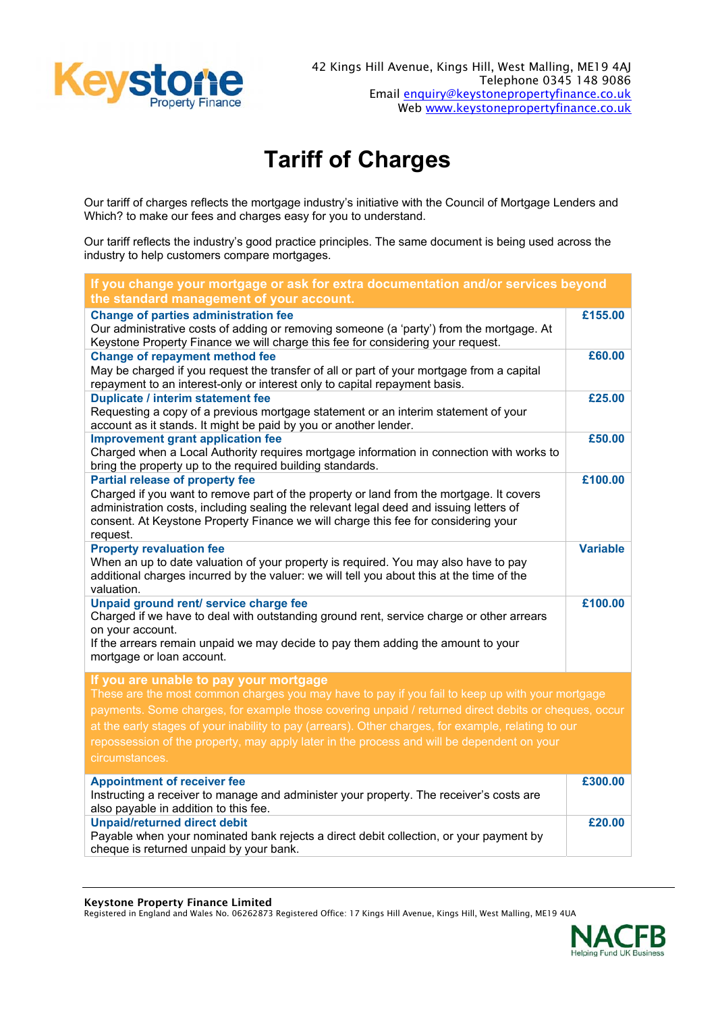

## **Tariff of Charges**

Our tariff of charges reflects the mortgage industry's initiative with the Council of Mortgage Lenders and Which? to make our fees and charges easy for you to understand.

Our tariff reflects the industry's good practice principles. The same document is being used across the industry to help customers compare mortgages.

| If you change your mortgage or ask for extra documentation and/or services beyond<br>the standard management of your account.                                                                                                                                                                                                                                                                                                                                            |                 |  |
|--------------------------------------------------------------------------------------------------------------------------------------------------------------------------------------------------------------------------------------------------------------------------------------------------------------------------------------------------------------------------------------------------------------------------------------------------------------------------|-----------------|--|
| <b>Change of parties administration fee</b><br>Our administrative costs of adding or removing someone (a 'party') from the mortgage. At<br>Keystone Property Finance we will charge this fee for considering your request.                                                                                                                                                                                                                                               | £155.00         |  |
| <b>Change of repayment method fee</b><br>May be charged if you request the transfer of all or part of your mortgage from a capital<br>repayment to an interest-only or interest only to capital repayment basis.                                                                                                                                                                                                                                                         | £60.00          |  |
| <b>Duplicate / interim statement fee</b><br>Requesting a copy of a previous mortgage statement or an interim statement of your<br>account as it stands. It might be paid by you or another lender.                                                                                                                                                                                                                                                                       | £25.00          |  |
| <b>Improvement grant application fee</b><br>Charged when a Local Authority requires mortgage information in connection with works to<br>bring the property up to the required building standards.                                                                                                                                                                                                                                                                        | £50.00          |  |
| <b>Partial release of property fee</b><br>Charged if you want to remove part of the property or land from the mortgage. It covers<br>administration costs, including sealing the relevant legal deed and issuing letters of<br>consent. At Keystone Property Finance we will charge this fee for considering your<br>request.                                                                                                                                            | £100.00         |  |
| <b>Property revaluation fee</b><br>When an up to date valuation of your property is required. You may also have to pay<br>additional charges incurred by the valuer: we will tell you about this at the time of the<br>valuation.                                                                                                                                                                                                                                        | <b>Variable</b> |  |
| Unpaid ground rent/ service charge fee<br>Charged if we have to deal with outstanding ground rent, service charge or other arrears<br>on your account.<br>If the arrears remain unpaid we may decide to pay them adding the amount to your<br>mortgage or loan account.                                                                                                                                                                                                  | £100.00         |  |
| If you are unable to pay your mortgage<br>These are the most common charges you may have to pay if you fail to keep up with your mortgage<br>payments. Some charges, for example those covering unpaid / returned direct debits or cheques, occur<br>at the early stages of your inability to pay (arrears). Other charges, for example, relating to our<br>repossession of the property, may apply later in the process and will be dependent on your<br>circumstances. |                 |  |
| <b>Appointment of receiver fee</b><br>Instructing a receiver to manage and administer your property. The receiver's costs are                                                                                                                                                                                                                                                                                                                                            | £300.00         |  |
| also payable in addition to this fee.<br><b>Unpaid/returned direct debit</b><br>Payable when your nominated bank rejects a direct debit collection, or your payment by<br>cheque is returned unpaid by your bank.                                                                                                                                                                                                                                                        | £20.00          |  |

## Keystone Property Finance Limited

Registered in England and Wales No. 06262873 Registered Office: 17 Kings Hill Avenue, Kings Hill, West Malling, ME19 4UA